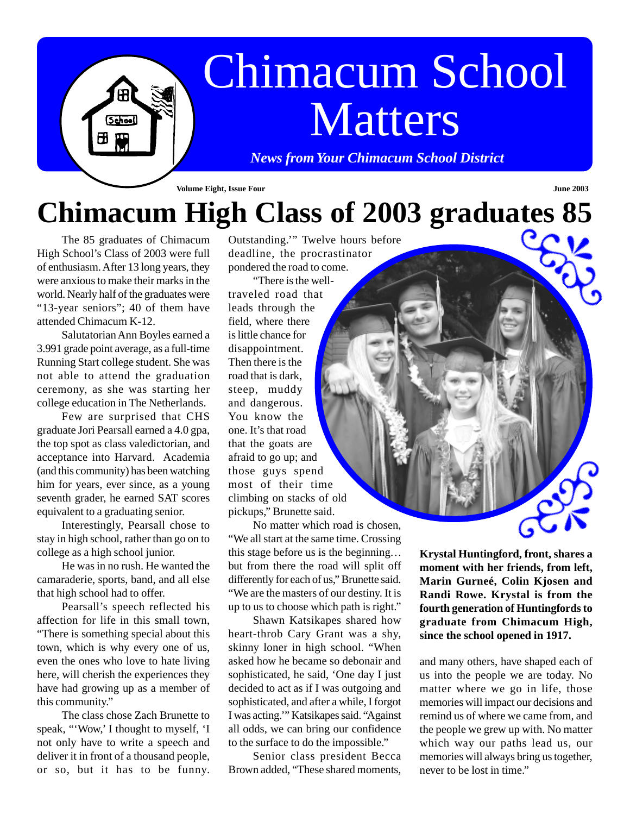# Chimacum School Matters

*News from Your Chimacum School District*

#### **Volume Eight, Issue Four June 2003**

### **Chimacum High Class of 2003 graduates 85**

The 85 graduates of Chimacum High School's Class of 2003 were full of enthusiasm. After 13 long years, they were anxious to make their marks in the world. Nearly half of the graduates were "13-year seniors"; 40 of them have attended Chimacum K-12.

 $5$ chool

 $H$ 

Salutatorian Ann Boyles earned a 3.991 grade point average, as a full-time Running Start college student. She was not able to attend the graduation ceremony, as she was starting her college education in The Netherlands.

Few are surprised that CHS graduate Jori Pearsall earned a 4.0 gpa, the top spot as class valedictorian, and acceptance into Harvard. Academia (and this community) has been watching him for years, ever since, as a young seventh grader, he earned SAT scores equivalent to a graduating senior.

Interestingly, Pearsall chose to stay in high school, rather than go on to college as a high school junior.

He was in no rush. He wanted the camaraderie, sports, band, and all else that high school had to offer.

Pearsall's speech reflected his affection for life in this small town, "There is something special about this town, which is why every one of us, even the ones who love to hate living here, will cherish the experiences they have had growing up as a member of this community."

The class chose Zach Brunette to speak, "'Wow,' I thought to myself, 'I not only have to write a speech and deliver it in front of a thousand people, or so, but it has to be funny. Outstanding.'" Twelve hours before deadline, the procrastinator pondered the road to come.

"There is the welltraveled road that leads through the field, where there is little chance for disappointment. Then there is the road that is dark, steep, muddy and dangerous. You know the one. It's that road that the goats are afraid to go up; and those guys spend most of their time climbing on stacks of old pickups," Brunette said.

No matter which road is chosen, "We all start at the same time. Crossing this stage before us is the beginning. . . but from there the road will split off differently for each of us," Brunette said. "We are the masters of our destiny. It is up to us to choose which path is right."

Shawn Katsikapes shared how heart-throb Cary Grant was a shy, skinny loner in high school. "When asked how he became so debonair and sophisticated, he said, 'One day I just decided to act as if I was outgoing and sophisticated, and after a while, I forgot I was acting.'" Katsikapes said. "Against all odds, we can bring our confidence to the surface to do the impossible."

Senior class president Becca Brown added, "These shared moments,

**Krystal Huntingford, front, shares a moment with her friends, from left, Marin Gurneé, Colin Kjosen and Randi Rowe. Krystal is from the fourth generation of Huntingfords to graduate from Chimacum High, since the school opened in 1917.**

and many others, have shaped each of us into the people we are today. No matter where we go in life, those memories will impact our decisions and remind us of where we came from, and the people we grew up with. No matter which way our paths lead us, our memories will always bring us together, never to be lost in time."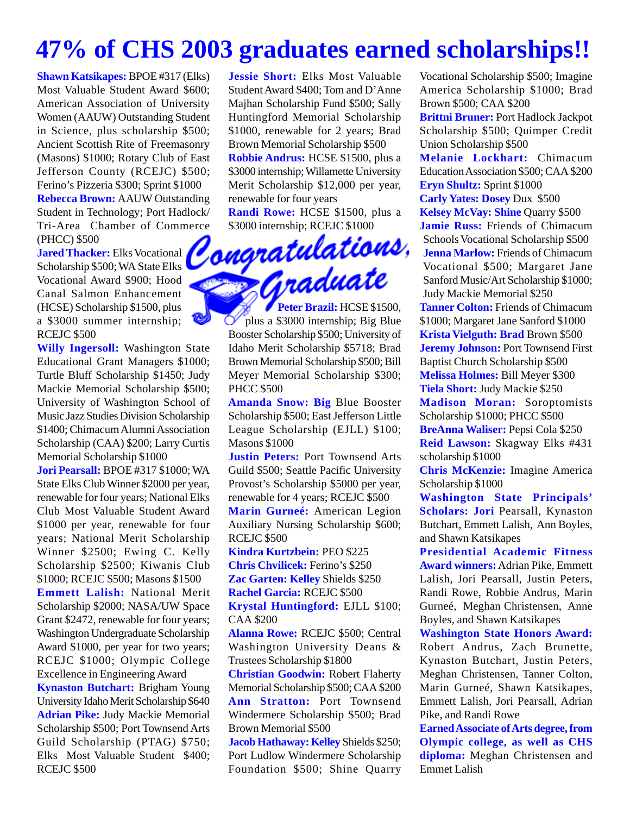### **47% of CHS 2003 graduates earned scholarships!!**

**Shawn Katsikapes:** BPOE #317 (Elks) Most Valuable Student Award \$600; American Association of University Women (AAUW) Outstanding Student in Science, plus scholarship \$500; Ancient Scottish Rite of Freemasonry (Masons) \$1000; Rotary Club of East Jefferson County (RCEJC) \$500; Ferino's Pizzeria \$300; Sprint \$1000 **Rebecca Brown:** AAUW Outstanding Student in Technology; Port Hadlock/ (PHCC) \$500

Tri-Area Chamber of Commerce \$3000 internship; RCEJC \$1000 (PHCC) \$500<br>(PHCC) \$500<br>Jared Thacker: Elks Vocational **Compratulations**,<br>Scholarship \$500; WA State Elks<br>Vocational Award \$900; Hood<br>Canal Salmon Enhancement **Jared Thacker:** Elks Vocational Scholarship \$500; WA State Elks Vocational Award \$900; Hood Canal Salmon Enhancement (HCSE) Scholarship \$1500, plus a \$3000 summer internship; RCEJC \$500

**Willy Ingersoll:** Washington State Educational Grant Managers \$1000; Turtle Bluff Scholarship \$1450; Judy Mackie Memorial Scholarship \$500; University of Washington School of Music Jazz Studies Division Scholarship \$1400; Chimacum Alumni Association Scholarship (CAA) \$200; Larry Curtis Memorial Scholarship \$1000

**Jori Pearsall:** BPOE #317 \$1000; WA State Elks Club Winner \$2000 per year, renewable for four years; National Elks Club Most Valuable Student Award \$1000 per year, renewable for four years; National Merit Scholarship Winner \$2500; Ewing C. Kelly Scholarship \$2500; Kiwanis Club \$1000; RCEJC \$500; Masons \$1500 **Emmett Lalish:** National Merit Scholarship \$2000; NASA/UW Space Grant \$2472, renewable for four years; Washington Undergraduate Scholarship Award \$1000, per year for two years; RCEJC \$1000; Olympic College Excellence in Engineering Award **Kynaston Butchart:** Brigham Young University Idaho Merit Scholarship \$640 **Adrian Pike:** Judy Mackie Memorial Scholarship \$500; Port Townsend Arts Guild Scholarship (PTAG) \$750; Elks Most Valuable Student \$400; RCEJC \$500

**Jessie Short:** Elks Most Valuable Student Award \$400; Tom and D'Anne Majhan Scholarship Fund \$500; Sally Huntingford Memorial Scholarship \$1000, renewable for 2 years; Brad Brown Memorial Scholarship \$500 **Robbie Andrus:** HCSE \$1500, plus a \$3000 internship; Willamette University Merit Scholarship \$12,000 per year, renewable for four years

**Randi Rowe:** HCSE \$1500, plus a \$3000 internship; RCEJC \$1000

Peter Brazil: HCSE \$1500, plus a \$3000 internship; Big Blue Booster Scholarship \$500; University of Idaho Merit Scholarship \$5718; Brad Brown Memorial Scholarship \$500; Bill Meyer Memorial Scholarship \$300; PHCC \$500

**Amanda Snow: Big** Blue Booster Scholarship \$500; East Jefferson Little League Scholarship (EJLL) \$100; Masons \$1000

**Justin Peters:** Port Townsend Arts Guild \$500; Seattle Pacific University Provost's Scholarship \$5000 per year, renewable for 4 years; RCEJC \$500 **Marin Gurneé:** American Legion Auxiliary Nursing Scholarship \$600; RCEJC \$500

**Kindra Kurtzbein:** PEO \$225 **Chris Chvilicek:** Ferino's \$250 **Zac Garten: Kelley** Shields \$250 **Rachel Garcia:** RCEJC \$500 **Krystal Huntingford:** EJLL \$100; CAA \$200

**Alanna Rowe:** RCEJC \$500; Central Washington University Deans & Trustees Scholarship \$1800

**Christian Goodwin:** Robert Flaherty Memorial Scholarship \$500; CAA \$200 **Ann Stratton:** Port Townsend Windermere Scholarship \$500; Brad Brown Memorial \$500

**Jacob Hathaway: Kelley** Shields \$250; Port Ludlow Windermere Scholarship Foundation \$500; Shine Quarry Vocational Scholarship \$500; Imagine America Scholarship \$1000; Brad Brown \$500; CAA \$200

**Brittni Bruner:** Port Hadlock Jackpot Scholarship \$500; Quimper Credit Union Scholarship \$500

**Melanie Lockhart:** Chimacum Education Association \$500; CAA \$200 **Eryn Shultz:** Sprint \$1000

**Carly Yates: Dosey** Dux \$500 **Kelsey McVay: Shine** Quarry \$500 **Jamie Russ:** Friends of Chimacum Schools Vocational Scholarship \$500 **Jenna Marlow:** Friends of Chimacum Vocational \$500; Margaret Jane Sanford Music/Art Scholarship \$1000; Judy Mackie Memorial \$250 **Tanner Colton:** Friends of Chimacum \$1000; Margaret Jane Sanford \$1000 **Krista Vielguth: Brad** Brown \$500 **Jeremy Johnson:** Port Townsend First Baptist Church Scholarship \$500 **Melissa Holmes:** Bill Meyer \$300 **Tiela Short:** Judy Mackie \$250 **Madison Moran:** Soroptomists Scholarship \$1000; PHCC \$500 **BreAnna Waliser:** Pepsi Cola \$250 **Reid Lawson:** Skagway Elks #431 scholarship \$1000

**Chris McKenzie:** Imagine America Scholarship \$1000

**Washington State Principals' Scholars: Jori** Pearsall, Kynaston Butchart, Emmett Lalish, Ann Boyles, and Shawn Katsikapes

**Presidential Academic Fitness Award winners:** Adrian Pike, Emmett Lalish, Jori Pearsall, Justin Peters, Randi Rowe, Robbie Andrus, Marin Gurneé, Meghan Christensen, Anne Boyles, and Shawn Katsikapes

**Washington State Honors Award:** Robert Andrus, Zach Brunette, Kynaston Butchart, Justin Peters, Meghan Christensen, Tanner Colton, Marin Gurneé, Shawn Katsikapes, Emmett Lalish, Jori Pearsall, Adrian Pike, and Randi Rowe

**Earned Associate of Arts degree, from Olympic college, as well as CHS diploma:** Meghan Christensen and Emmet Lalish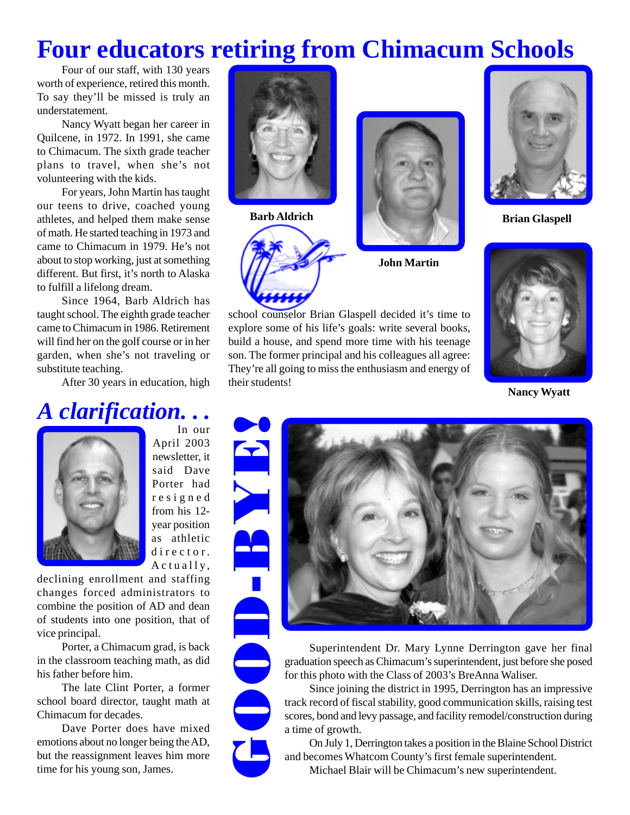### **Four educators retiring from Chimacum Schools**

Four of our staff, with 130 years worth of experience, retired this month. To say they'll be missed is truly an understatement.

Nancy Wyatt began her career in Quilcene, in 1972. In 1991, she came to Chimacum. The sixth grade teacher plans to travel, when she's not volunteering with the kids.

For years, John Martin has taught our teens to drive, coached young athletes, and helped them make sense of math. He started teaching in 1973 and came to Chimacum in 1979. He's not about to stop working, just at something different. But first, it's north to Alaska to fulfill a lifelong dream.

Since 1964, Barb Aldrich has taught school. The eighth grade teacher came to Chimacum in 1986. Retirement will find her on the golf course or in her garden, when she's not traveling or substitute teaching.

After 30 years in education, high

#### *A clarification. . .* In our



April 2003 newsletter, it said Dave Porter had resigned from his 12 year position as athletic director. Actually,

declining enrollment and staffing changes forced administrators to combine the position of AD and dean of students into one position, that of vice principal.

Porter, a Chimacum grad, is back in the classroom teaching math, as did his father before him.

The late Clint Porter, a former school board director, taught math at Chimacum for decades.

Dave Porter does have mixed emotions about no longer being the AD, but the reassignment leaves him more time for his young son, James.







**John Martin**

school counselor Brian Glaspell decided it's time to explore some of his life's goals: write several books, build a house, and spend more time with his teenage son. The former principal and his colleagues all agree: They're all going to miss the enthusiasm and energy of their students!



**Brian Glaspell**



**Nancy Wyatt**

GOOD-BYE!



Superintendent Dr. Mary Lynne Derrington gave her final graduation speech as Chimacum's superintendent, just before she posed for this photo with the Class of 2003's BreAnna Waliser.

Since joining the district in 1995, Derrington has an impressive track record of fiscal stability, good communication skills, raising test scores, bond and levy passage, and facility remodel/construction during a time of growth.

On July 1, Derrington takes a position in the Blaine School District and becomes Whatcom County's first female superintendent.

Michael Blair will be Chimacum's new superintendent.